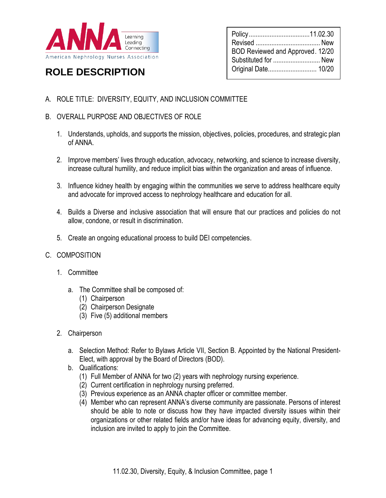

## Revised ..................................... New BOD Reviewed and Approved. 12/20 Substituted for ........................... New Original Date............................ 10/20

Policy...................................11.02.30

# **ROLE DESCRIPTION**

- A. ROLE TITLE: DIVERSITY, EQUITY, AND INCLUSION COMMITTEE
- B. OVERALL PURPOSE AND OBJECTIVES OF ROLE
	- 1. Understands, upholds, and supports the mission, objectives, policies, procedures, and strategic plan of ANNA.
	- 2. Improve members' lives through education, advocacy, networking, and science to increase diversity, increase cultural humility, and reduce implicit bias within the organization and areas of influence.
	- 3. Influence kidney health by engaging within the communities we serve to address healthcare equity and advocate for improved access to nephrology healthcare and education for all.
	- 4. Builds a Diverse and inclusive association that will ensure that our practices and policies do not allow, condone, or result in discrimination.
	- 5. Create an ongoing educational process to build DEI competencies.
- C. COMPOSITION
	- 1. Committee
		- a. The Committee shall be composed of:
			- (1) Chairperson
			- (2) Chairperson Designate
			- (3) Five (5) additional members
	- 2. Chairperson
		- a. Selection Method: Refer to Bylaws Article VII, Section B. Appointed by the National President-Elect, with approval by the Board of Directors (BOD).
		- b. Qualifications:
			- (1) Full Member of ANNA for two (2) years with nephrology nursing experience.
			- (2) Current certification in nephrology nursing preferred.
			- (3) Previous experience as an ANNA chapter officer or committee member.
			- (4) Member who can represent ANNA's diverse community are passionate. Persons of interest should be able to note or discuss how they have impacted diversity issues within their organizations or other related fields and/or have ideas for advancing equity, diversity, and inclusion are invited to apply to join the Committee.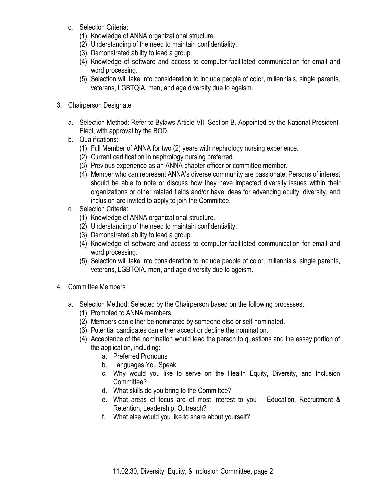- c. Selection Criteria:
	- (1) Knowledge of ANNA organizational structure.
	- (2) Understanding of the need to maintain confidentiality.
	- (3) Demonstrated ability to lead a group.
	- (4) Knowledge of software and access to computer-facilitated communication for email and word processing.
	- (5) Selection will take into consideration to include people of color, millennials, single parents, veterans, LGBTQIA, men, and age diversity due to ageism.
- 3. Chairperson Designate
	- a. Selection Method: Refer to Bylaws Article VII, Section B. Appointed by the National President-Elect, with approval by the BOD.
	- b. Qualifications:
		- (1) Full Member of ANNA for two (2) years with nephrology nursing experience.
		- (2) Current certification in nephrology nursing preferred.
		- (3) Previous experience as an ANNA chapter officer or committee member.
		- (4) Member who can represent ANNA's diverse community are passionate. Persons of interest should be able to note or discuss how they have impacted diversity issues within their organizations or other related fields and/or have ideas for advancing equity, diversity, and inclusion are invited to apply to join the Committee.
	- c. Selection Criteria:
		- (1) Knowledge of ANNA organizational structure.
		- (2) Understanding of the need to maintain confidentiality.
		- (3) Demonstrated ability to lead a group.
		- (4) Knowledge of software and access to computer-facilitated communication for email and word processing.
		- (5) Selection will take into consideration to include people of color, millennials, single parents, veterans, LGBTQIA, men, and age diversity due to ageism.
- 4. Committee Members
	- a. Selection Method: Selected by the Chairperson based on the following processes.
		- (1) Promoted to ANNA members.
		- (2) Members can either be nominated by someone else or self-nominated.
		- (3) Potential candidates can either accept or decline the nomination.
		- (4) Acceptance of the nomination would lead the person to questions and the essay portion of the application, including:
			- a. Preferred Pronouns
			- b. Languages You Speak
			- c. Why would you like to serve on the Health Equity, Diversity, and Inclusion Committee?
			- d. What skills do you bring to the Committee?
			- e. What areas of focus are of most interest to you Education, Recruitment & Retention, Leadership, Outreach?
			- f. What else would you like to share about yourself?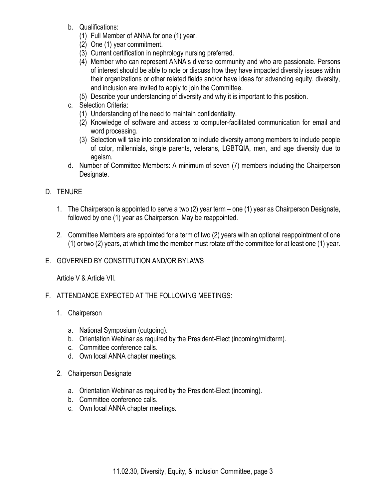- b. Qualifications:
	- (1) Full Member of ANNA for one (1) year.
	- (2) One (1) year commitment.
	- (3) Current certification in nephrology nursing preferred.
	- (4) Member who can represent ANNA's diverse community and who are passionate. Persons of interest should be able to note or discuss how they have impacted diversity issues within their organizations or other related fields and/or have ideas for advancing equity, diversity, and inclusion are invited to apply to join the Committee.
	- (5) Describe your understanding of diversity and why it is important to this position.
- c. Selection Criteria:
	- (1) Understanding of the need to maintain confidentiality.
	- (2) Knowledge of software and access to computer-facilitated communication for email and word processing.
	- (3) Selection will take into consideration to include diversity among members to include people of color, millennials, single parents, veterans, LGBTQIA, men, and age diversity due to ageism.
- d. Number of Committee Members: A minimum of seven (7) members including the Chairperson Designate.

### D. TENURE

- 1. The Chairperson is appointed to serve a two (2) year term one (1) year as Chairperson Designate, followed by one (1) year as Chairperson. May be reappointed.
- 2. Committee Members are appointed for a term of two (2) years with an optional reappointment of one (1) or two (2) years, at which time the member must rotate off the committee for at least one (1) year.
- E. GOVERNED BY CONSTITUTION AND/OR BYLAWS

Article V & Article VII.

- F. ATTENDANCE EXPECTED AT THE FOLLOWING MEETINGS:
	- 1. Chairperson
		- a. National Symposium (outgoing).
		- b. Orientation Webinar as required by the President-Elect (incoming/midterm).
		- c. Committee conference calls.
		- d. Own local ANNA chapter meetings.
	- 2. Chairperson Designate
		- a. Orientation Webinar as required by the President-Elect (incoming).
		- b. Committee conference calls.
		- c. Own local ANNA chapter meetings.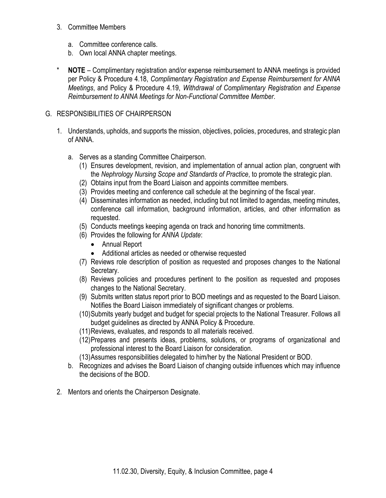#### 3. Committee Members

- a. Committee conference calls.
- b. Own local ANNA chapter meetings.
- **NOTE** Complimentary registration and/or expense reimbursement to ANNA meetings is provided per Policy & Procedure 4.18, *Complimentary Registration and Expense Reimbursement for ANNA Meetings*, and Policy & Procedure 4.19, *Withdrawal of Complimentary Registration and Expense Reimbursement to ANNA Meetings for Non-Functional Committee Member*.

## G. RESPONSIBILITIES OF CHAIRPERSON

- 1. Understands, upholds, and supports the mission, objectives, policies, procedures, and strategic plan of ANNA.
	- a. Serves as a standing Committee Chairperson.
		- (1) Ensures development, revision, and implementation of annual action plan, congruent with the *Nephrology Nursing Scope and Standards of Practice*, to promote the strategic plan.
		- (2) Obtains input from the Board Liaison and appoints committee members.
		- (3) Provides meeting and conference call schedule at the beginning of the fiscal year.
		- (4) Disseminates information as needed, including but not limited to agendas, meeting minutes, conference call information, background information, articles, and other information as requested.
		- (5) Conducts meetings keeping agenda on track and honoring time commitments.
		- (6) Provides the following for *ANNA Update*:
			- Annual Report
			- Additional articles as needed or otherwise requested
		- (7) Reviews role description of position as requested and proposes changes to the National Secretary.
		- (8) Reviews policies and procedures pertinent to the position as requested and proposes changes to the National Secretary.
		- (9) Submits written status report prior to BOD meetings and as requested to the Board Liaison. Notifies the Board Liaison immediately of significant changes or problems.
		- (10)Submits yearly budget and budget for special projects to the National Treasurer. Follows all budget guidelines as directed by ANNA Policy & Procedure.
		- (11)Reviews, evaluates, and responds to all materials received.
		- (12)Prepares and presents ideas, problems, solutions, or programs of organizational and professional interest to the Board Liaison for consideration.
		- (13)Assumes responsibilities delegated to him/her by the National President or BOD.
	- b. Recognizes and advises the Board Liaison of changing outside influences which may influence the decisions of the BOD.
- 2. Mentors and orients the Chairperson Designate.